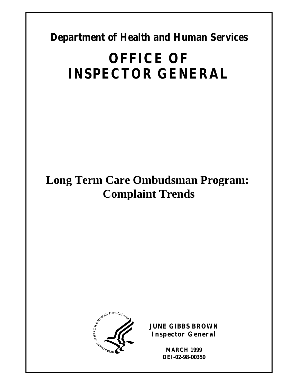**Department of Health and Human Services** 

# **OFFICE OF INSPECTOR GENERAL**

# **Long Term Care Ombudsman Program: Complaint Trends**



**JUNE GIBBS BROWN Inspector General** 

> **MARCH 1999 OEI-02-98-00350**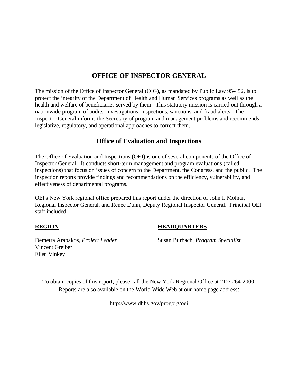## **OFFICE OF INSPECTOR GENERAL**

The mission of the Office of Inspector General (OIG), as mandated by Public Law 95-452, is to protect the integrity of the Department of Health and Human Services programs as well as the health and welfare of beneficiaries served by them. This statutory mission is carried out through a nationwide program of audits, investigations, inspections, sanctions, and fraud alerts. The Inspector General informs the Secretary of program and management problems and recommends legislative, regulatory, and operational approaches to correct them.

### **Office of Evaluation and Inspections**

The Office of Evaluation and Inspections (OEI) is one of several components of the Office of Inspector General. It conducts short-term management and program evaluations (called inspections) that focus on issues of concern to the Department, the Congress, and the public. The inspection reports provide findings and recommendations on the efficiency, vulnerability, and effectiveness of departmental programs.

OEI's New York regional office prepared this report under the direction of John I. Molnar, Regional Inspector General, and Renee Dunn, Deputy Regional Inspector General. Principal OEI staff included:

#### **REGION HEADQUARTERS**

Demetra Arapakos, *Project Leader* Susan Burbach, *Program Specialist* 

Vincent Greiber Ellen Vinkey

To obtain copies of this report, please call the New York Regional Office at 212/ 264-2000. Reports are also available on the World Wide Web at our home page address:

http://www.dhhs.gov/progorg/oei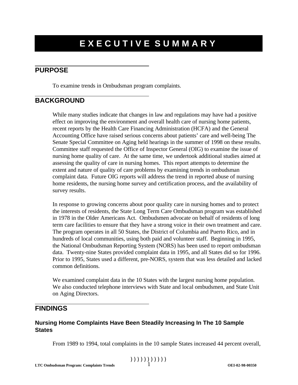# **EXECUTIVE SUMMARY**

### **PURPOSE**

To examine trends in Ombudsman program complaints.

### **BACKGROUND**

While many studies indicate that changes in law and regulations may have had a positive effect on improving the environment and overall health care of nursing home patients, recent reports by the Health Care Financing Administration (HCFA) and the General Accounting Office have raised serious concerns about patients' care and well-being The Senate Special Committee on Aging held hearings in the summer of 1998 on these results. Committee staff requested the Office of Inspector General (OIG) to examine the issue of nursing home quality of care. At the same time, we undertook additional studies aimed at assessing the quality of care in nursing homes. This report attempts to determine the extent and nature of quality of care problems by examining trends in ombudsman complaint data. Future OIG reports will address the trend in reported abuse of nursing home residents, the nursing home survey and certification process, and the availability of survey results.

In response to growing concerns about poor quality care in nursing homes and to protect the interests of residents, the State Long Term Care Ombudsman program was established in 1978 in the Older Americans Act. Ombudsmen advocate on behalf of residents of long term care facilities to ensure that they have a strong voice in their own treatment and care. The program operates in all 50 States, the District of Columbia and Puerto Rico, and in hundreds of local communities, using both paid and volunteer staff. Beginning in 1995, the National Ombudsman Reporting System (NORS) has been used to report ombudsman data. Twenty-nine States provided complaint data in 1995, and all States did so for 1996. Prior to 1995, States used a different, pre-NORS, system that was less detailed and lacked common definitions.

We examined complaint data in the 10 States with the largest nursing home population. We also conducted telephone interviews with State and local ombudsmen, and State Unit on Aging Directors.

# **FINDINGS**

#### **Nursing Home Complaints Have Been Steadily Increasing In The 10 Sample States**

From 1989 to 1994, total complaints in the 10 sample States increased 44 percent overall,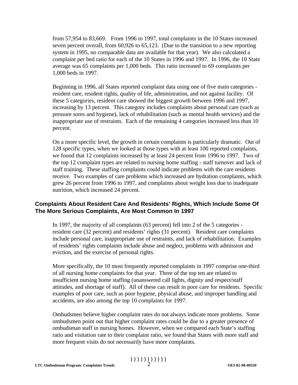from 57,954 to 83,669. From 1996 to 1997, total complaints in the 10 States increased seven percent overall, from 60,926 to 65,123. (Due to the transition to a new reporting system in 1995, no comparable data are available for that year). We also calculated a complaint per bed ratio for each of the 10 States in 1996 and 1997. In 1996, the 10 State average was 65 complaints per 1,000 beds. This ratio increased to 69 complaints per 1,000 beds in 1997.

Beginning in 1996, all States reported complaint data using one of five main categories resident care, resident rights, quality of life, administration, and not against facility. Of these 5 categories, resident care showed the biggest growth between 1996 and 1997, increasing by 13 percent. This category includes complaints about personal care (such as pressure sores and hygiene), lack of rehabilitation (such as mental health services) and the inappropriate use of restraints. Each of the remaining 4 categories increased less than 10 percent.

On a more specific level, the growth in certain complaints is particularly dramatic. Out of 128 specific types, when we looked at those types with at least 100 reported complaints, we found that 12 complaints increased by at least 24 percent from 1996 to 1997. Two of the top 12 complaint types are related to nursing home staffing - staff turnover and lack of staff training. These staffing complaints could indicate problems with the care residents receive. Two examples of care problems which increased are hydration complaints, which grew 26 percent from 1996 to 1997, and complaints about weight loss due to inadequate nutrition, which increased 24 percent.

#### **Complaints About Resident Care And Residents' Rights, Which Include Some Of The More Serious Complaints, Are Most Common In 1997**

In 1997, the majority of all complaints (63 percent) fell into 2 of the 5 categories resident care (32 percent) and residents' rights (31 percent). Resident care complaints include personal care, inappropriate use of restraints, and lack of rehabilitation. Examples of residents' rights complaints include abuse and neglect, problems with admission and eviction, and the exercise of personal rights.

More specifically, the 10 most frequently reported complaints in 1997 comprise one-third of all nursing home complaints for that year. Three of the top ten are related to insufficient nursing home staffing (unanswered call lights, dignity and respect/staff attitudes, and shortage of staff). All of these can result in poor care for residents. Specific examples of poor care, such as poor hygiene, physical abuse, and improper handling and accidents, are also among the top 10 complaints for 1997.

Ombudsmen believe higher complaint rates do not always indicate more problems. Some ombudsmen point out that higher complaint rates could be due to a greater presence of ombudsman staff in nursing homes. However, when we compared each State's staffing ratio and visitation rate to their complaint ratio, we found that States with more staff and more frequent visits do not necessarily have more complaints.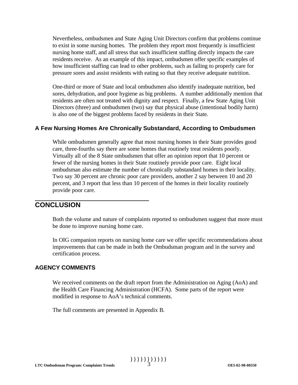Nevertheless, ombudsmen and State Aging Unit Directors confirm that problems continue to exist in some nursing homes. The problem they report most frequently is insufficient nursing home staff, and all stress that such insufficient staffing directly impacts the care residents receive. As an example of this impact, ombudsmen offer specific examples of how insufficient staffing can lead to other problems, such as failing to properly care for pressure sores and assist residents with eating so that they receive adequate nutrition.

One-third or more of State and local ombudsmen also identify inadequate nutrition, bed sores, dehydration, and poor hygiene as big problems. A number additionally mention that residents are often not treated with dignity and respect. Finally, a few State Aging Unit Directors (three) and ombudsmen (two) say that physical abuse (intentional bodily harm) is also one of the biggest problems faced by residents in their State.

#### **A Few Nursing Homes Are Chronically Substandard, According to Ombudsmen**

While ombudsmen generally agree that most nursing homes in their State provides good care, three-fourths say there are some homes that routinely treat residents poorly. Virtually all of the 8 State ombudsmen that offer an opinion report that 10 percent or fewer of the nursing homes in their State routinely provide poor care. Eight local ombudsman also estimate the number of chronically substandard homes in their locality. Two say 30 percent are chronic poor care providers, another 2 say between 10 and 20 percent, and 3 report that less than 10 percent of the homes in their locality routinely provide poor care.

# **CONCLUSION**

Both the volume and nature of complaints reported to ombudsmen suggest that more must be done to improve nursing home care.

In OIG companion reports on nursing home care we offer specific recommendations about improvements that can be made in both the Ombudsman program and in the survey and certification process.

#### **AGENCY COMMENTS**

We received comments on the draft report from the Administration on Aging (AoA) and the Health Care Financing Administration (HCFA). Some parts of the report were modified in response to AoA's technical comments.

The full comments are presented in Appendix B.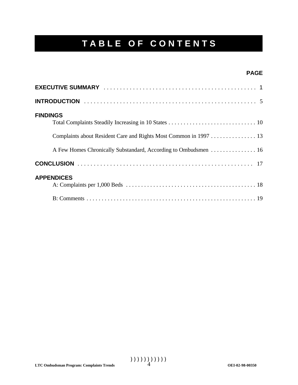# **T A B L E O F C O N T E N T S**

#### **PAGE**

| <b>FINDINGS</b><br>Complaints about Resident Care and Rights Most Common in 1997 13<br>A Few Homes Chronically Substandard, According to Ombudsmen 16 |
|-------------------------------------------------------------------------------------------------------------------------------------------------------|
|                                                                                                                                                       |
| <b>APPENDICES</b>                                                                                                                                     |
|                                                                                                                                                       |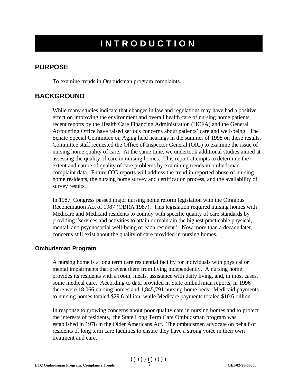# **I N T R O D U C T I O N**

### **PURPOSE**

To examine trends in Ombudsman program complaints.

# **BACKGROUND**

While many studies indicate that changes in law and regulations may have had a positive effect on improving the environment and overall health care of nursing home patients, recent reports by the Health Care Financing Administration (HCFA) and the General Accounting Office have raised serious concerns about patients' care and well-being. The Senate Special Committee on Aging held hearings in the summer of 1998 on these results. Committee staff requested the Office of Inspector General (OIG) to examine the issue of nursing home quality of care. At the same time, we undertook additional studies aimed at assessing the quality of care in nursing homes. This report attempts to determine the extent and nature of quality of care problems by examining trends in ombudsman complaint data. Future OIG reports will address the trend in reported abuse of nursing home residents, the nursing home survey and certification process, and the availability of survey results.

In 1987, Congress passed major nursing home reform legislation with the Omnibus Reconciliation Act of 1987 (OBRA 1987). This legislation required nursing homes with Medicare and Medicaid residents to comply with specific quality of care standards by providing "services and activities to attain or maintain the highest practicable physical, mental, and psychosocial well-being of each resident." Now more than a decade later, concerns still exist about the quality of care provided in nursing homes.

#### **Ombudsman Program**

A nursing home is a long term care residential facility for individuals with physical or mental impairments that prevent them from living independently. A nursing home provides its residents with a room, meals, assistance with daily living, and, in most cases, some medical care. According to data provided in State ombudsman reports, in 1996 there were 18,066 nursing homes and 1,845,791 nursing home beds. Medicaid payments to nursing homes totaled \$29.6 billion, while Medicare payments totaled \$10.6 billion.

In response to growing concerns about poor quality care in nursing homes and to protect the interests of residents, the State Long Term Care Ombudsman program was established in 1978 in the Older Americans Act. The ombudsmen advocate on behalf of residents of long term care facilities to ensure they have a strong voice in their own treatment and care.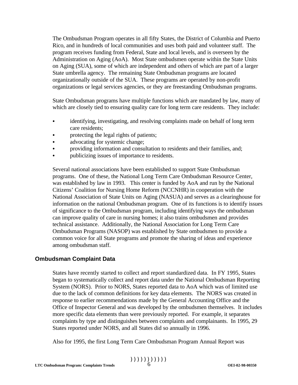The Ombudsman Program operates in all fifty States, the District of Columbia and Puerto Rico, and in hundreds of local communities and uses both paid and volunteer staff. The program receives funding from Federal, State and local levels, and is overseen by the Administration on Aging (AoA). Most State ombudsmen operate within the State Units on Aging (SUA), some of which are independent and others of which are part of a larger State umbrella agency. The remaining State Ombudsman programs are located organizationally outside of the SUA. These programs are operated by non-profit organizations or legal services agencies, or they are freestanding Ombudsman programs.

State Ombudsman programs have multiple functions which are mandated by law, many of which are closely tied to ensuring quality care for long term care residents. They include:

- identifying, investigating, and resolving complaints made on behalf of long term care residents;
- protecting the legal rights of patients;
- advocating for systemic change;
- providing information and consultation to residents and their families, and;
- publicizing issues of importance to residents.

Several national associations have been established to support State Ombudsman programs. One of these, the National Long Term Care Ombudsman Resource Center, was established by law in 1993. This center is funded by AoA and run by the National Citizens' Coalition for Nursing Home Reform (NCCNHR) in cooperation with the National Association of State Units on Aging (NASUA) and serves as a clearinghouse for information on the national Ombudsman program. One of its functions is to identify issues of significance to the Ombudsman program, including identifying ways the ombudsman can improve quality of care in nursing homes; it also trains ombudsmen and provides technical assistance. Additionally, the National Association for Long Term Care Ombudsman Programs (NASOP) was established by State ombudsmen to provide a common voice for all State programs and promote the sharing of ideas and experience among ombudsman staff.

### **Ombudsman Complaint Data**

States have recently started to collect and report standardized data. In FY 1995, States began to systematically collect and report data under the National Ombudsman Reporting System (NORS). Prior to NORS, States reported data to AoA which was of limited use due to the lack of common definitions for key data elements. The NORS was created in response to earlier recommendations made by the General Accounting Office and the Office of Inspector General and was developed by the ombudsmen themselves. It includes more specific data elements than were previously reported. For example, it separates complaints by type and distinguishes between complaints and complainants. In 1995, 29 States reported under NORS, and all States did so annually in 1996.

Also for 1995, the first Long Term Care Ombudsman Program Annual Report was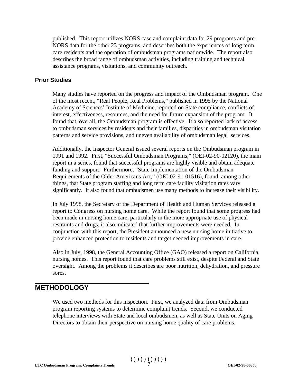published. This report utilizes NORS case and complaint data for 29 programs and pre-NORS data for the other 23 programs, and describes both the experiences of long term care residents and the operation of ombudsman programs nationwide. The report also describes the broad range of ombudsman activities, including training and technical assistance programs, visitations, and community outreach.

#### **Prior Studies**

Many studies have reported on the progress and impact of the Ombudsman program. One of the most recent, "Real People, Real Problems," published in 1995 by the National Academy of Sciences' Institute of Medicine, reported on State compliance, conflicts of interest, effectiveness, resources, and the need for future expansion of the program. It found that, overall, the Ombudsman program is effective. It also reported lack of access to ombudsman services by residents and their families, disparities in ombudsman visitation patterns and service provisions, and uneven availability of ombudsman legal services.

Additionally, the Inspector General issued several reports on the Ombudsman program in 1991 and 1992. First, "Successful Ombudsman Programs," (OEI-02-90-02120), the main report in a series, found that successful programs are highly visible and obtain adequate funding and support. Furthermore, "State Implementation of the Ombudsman Requirements of the Older Americans Act," (OEI-02-91-01516), found, among other things, that State program staffing and long term care facility visitation rates vary significantly. It also found that ombudsmen use many methods to increase their visibility.

In July 1998, the Secretary of the Department of Health and Human Services released a report to Congress on nursing home care. While the report found that some progress had been made in nursing home care, particularly in the more appropriate use of physical restraints and drugs, it also indicated that further improvements were needed. In conjunction with this report, the President announced a new nursing home initiative to provide enhanced protection to residents and target needed improvements in care.

Also in July, 1998, the General Accounting Office (GAO) released a report on California nursing homes. This report found that care problems still exist, despite Federal and State oversight. Among the problems it describes are poor nutrition, dehydration, and pressure sores.

### **METHODOLOGY**

We used two methods for this inspection. First, we analyzed data from Ombudsman program reporting systems to determine complaint trends. Second, we conducted telephone interviews with State and local ombudsmen, as well as State Units on Aging Directors to obtain their perspective on nursing home quality of care problems.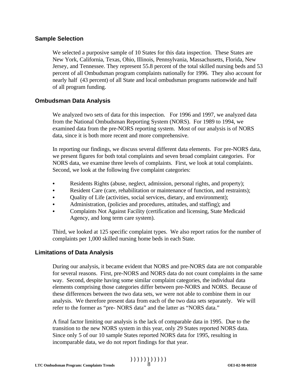#### **Sample Selection**

We selected a purposive sample of 10 States for this data inspection. These States are New York, California, Texas, Ohio, Illinois, Pennsylvania, Massachusetts, Florida, New Jersey, and Tennessee. They represent 55.8 percent of the total skilled nursing beds and 53 percent of all Ombudsman program complaints nationally for 1996. They also account for nearly half (43 percent) of all State and local ombudsman programs nationwide and half of all program funding.

#### **Ombudsman Data Analysis**

We analyzed two sets of data for this inspection. For 1996 and 1997, we analyzed data from the National Ombudsman Reporting System (NORS). For 1989 to 1994, we examined data from the pre-NORS reporting system. Most of our analysis is of NORS data, since it is both more recent and more comprehensive.

In reporting our findings, we discuss several different data elements. For pre-NORS data, we present figures for both total complaints and seven broad complaint categories. For NORS data, we examine three levels of complaints. First, we look at total complaints. Second, we look at the following five complaint categories:

- Residents Rights (abuse, neglect, admission, personal rights, and property);
- Resident Care (care, rehabilitation or maintenance of function, and restraints);
- Quality of Life (activities, social services, dietary, and environment);
- Administration, (policies and procedures, attitudes, and staffing); and
- Complaints Not Against Facility (certification and licensing, State Medicaid Agency, and long term care system).

Third, we looked at 125 specific complaint types. We also report ratios for the number of complaints per 1,000 skilled nursing home beds in each State.

#### **Limitations of Data Analysis**

During our analysis, it became evident that NORS and pre-NORS data are not comparable for several reasons. First, pre-NORS and NORS data do not count complaints in the same way. Second, despite having some similar complaint categories, the individual data elements comprising those categories differ between pre-NORS and NORS. Because of these differences between the two data sets, we were not able to combine them in our analysis. We therefore present data from each of the two data sets separately. We will refer to the former as "pre- NORS data" and the latter as "NORS data."

A final factor limiting our analysis is the lack of comparable data in 1995. Due to the transition to the new NORS system in this year, only 29 States reported NORS data. Since only 5 of our 10 sample States reported NORS data for 1995, resulting in incomparable data, we do not report findings for that year.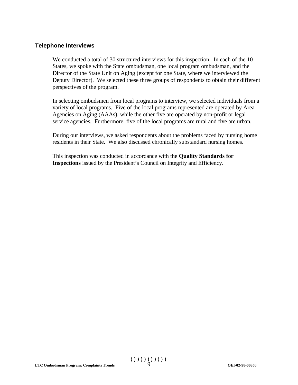#### **Telephone Interviews**

We conducted a total of 30 structured interviews for this inspection. In each of the 10 States, we spoke with the State ombudsman, one local program ombudsman, and the Director of the State Unit on Aging (except for one State, where we interviewed the Deputy Director). We selected these three groups of respondents to obtain their different perspectives of the program.

In selecting ombudsmen from local programs to interview, we selected individuals from a variety of local programs. Five of the local programs represented are operated by Area Agencies on Aging (AAAs), while the other five are operated by non-profit or legal service agencies. Furthermore, five of the local programs are rural and five are urban.

During our interviews, we asked respondents about the problems faced by nursing home residents in their State. We also discussed chronically substandard nursing homes.

This inspection was conducted in accordance with the **Quality Standards for Inspections** issued by the President's Council on Integrity and Efficiency.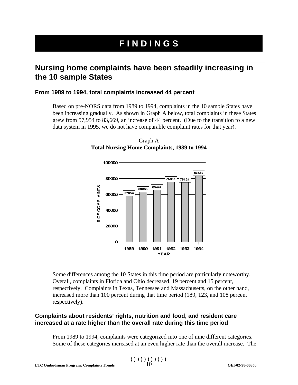# **F I N D I N G S**

# **Nursing home complaints have been steadily increasing in the 10 sample States**

#### **From 1989 to 1994, total complaints increased 44 percent**

Based on pre-NORS data from 1989 to 1994, complaints in the 10 sample States have been increasing gradually. As shown in Graph A below, total complaints in these States grew from 57,954 to 83,669, an increase of 44 percent. (Due to the transition to a new data system in 1995, we do not have comparable complaint rates for that year).



Graph A **Total Nursing Home Complaints, 1989 to 1994** 

Some differences among the 10 States in this time period are particularly noteworthy. Overall, complaints in Florida and Ohio decreased, 19 percent and 15 percent, respectively. Complaints in Texas, Tennessee and Massachusetts, on the other hand, increased more than 100 percent during that time period (189, 123, and 108 percent respectively).

#### **Complaints about residents' rights, nutrition and food, and resident care increased at a rate higher than the overall rate during this time period**

From 1989 to 1994, complaints were categorized into one of nine different categories. Some of these categories increased at an even higher rate than the overall increase. The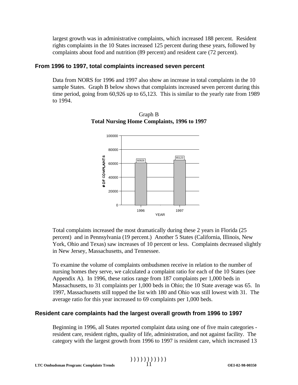largest growth was in administrative complaints, which increased 188 percent. Resident rights complaints in the 10 States increased 125 percent during these years, followed by complaints about food and nutrition (89 percent) and resident care (72 percent).

#### **From 1996 to 1997, total complaints increased seven percent**

Data from NORS for 1996 and 1997 also show an increase in total complaints in the 10 sample States. Graph B below shows that complaints increased seven percent during this time period, going from 60,926 up to 65,123. This is similar to the yearly rate from 1989 to 1994.



Graph B **Total Nursing Home Complaints, 1996 to 1997** 

Total complaints increased the most dramatically during these 2 years in Florida (25 percent) and in Pennsylvania (19 percent.) Another 5 States (California, Illinois, New York, Ohio and Texas) saw increases of 10 percent or less. Complaints decreased slightly in New Jersey, Massachusetts, and Tennessee.

To examine the volume of complaints ombudsmen receive in relation to the number of nursing homes they serve, we calculated a complaint ratio for each of the 10 States (see Appendix A). In 1996, these ratios range from 187 complaints per 1,000 beds in Massachusetts, to 31 complaints per 1,000 beds in Ohio; the 10 State average was 65. In 1997, Massachusetts still topped the list with 180 and Ohio was still lowest with 31. The average ratio for this year increased to 69 complaints per 1,000 beds.

#### **Resident care complaints had the largest overall growth from 1996 to 1997**

Beginning in 1996, all States reported complaint data using one of five main categories resident care, resident rights, quality of life, administration, and not against facility. The category with the largest growth from 1996 to 1997 is resident care, which increased 13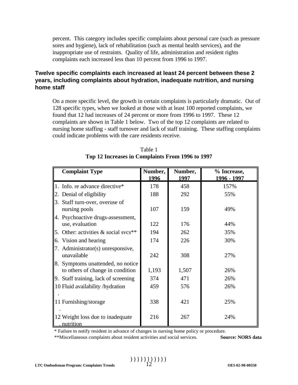percent. This category includes specific complaints about personal care (such as pressure sores and hygiene), lack of rehabilitation (such as mental health services), and the inappropriate use of restraints. Quality of life, administration and resident rights complaints each increased less than 10 percent from 1996 to 1997.

#### **Twelve specific complaints each increased at least 24 percent between these 2 years, including complaints about hydration, inadequate nutrition, and nursing home staff**

On a more specific level, the growth in certain complaints is particularly dramatic. Out of 128 specific types, when we looked at those with at least 100 reported complaints, we found that 12 had increases of 24 percent or more from 1996 to 1997. These 12 complaints are shown in Table 1 below. Two of the top 12 complaints are related to nursing home staffing - staff turnover and lack of staff training. These staffing complaints could indicate problems with the care residents receive.

| <b>Complaint Type</b>                                                    | Number,<br>1996 | Number,<br>1997 | % Increase,<br>1996 - 1997 |
|--------------------------------------------------------------------------|-----------------|-----------------|----------------------------|
| Info. re advance directive*                                              | 178             | 458             | 157%                       |
| Denial of eligibility                                                    | 188             | 292             | 55%                        |
| Staff turn-over, overuse of<br>I3.<br>nursing pools                      | 107             | 159             | 49%                        |
| 4. Psychoactive drugs-assessment,<br>use, evaluation                     | 122             | 176             | 44%                        |
| Other: activities & social svcs**<br>5.                                  | 194             | 262             | 35%                        |
| Vision and hearing<br>6.                                                 | 174             | 226             | 30%                        |
| 7. Administrator(s) unresponsive,<br>unavailable                         | 242             | 308             | 27%                        |
| 8.<br>Symptoms unattended, no notice<br>to others of change in condition | 1,193           | 1,507           | 26%                        |
| Staff training, lack of screening<br>9.                                  | 374             | 471             | 26%                        |
| 10 Fluid availability /hydration                                         | 459             | 576             | 26%                        |
| 11 Furnishing/storage                                                    | 338             | 421             | 25%                        |
| 12 Weight loss due to inadequate<br>nutrition                            | 216             | 267             | 24%                        |

| Table 1                                          |
|--------------------------------------------------|
| Top 12 Increases in Complaints From 1996 to 1997 |

\* Failure to notify resident in advance of changes in nursing home policy or procedure.

\*\*Miscellaneous complaints about resident activities and social services. **Source: NORS data**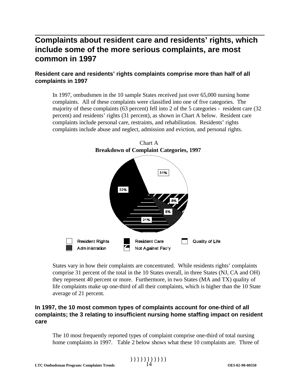# **Complaints about resident care and residents' rights, which include some of the more serious complaints, are most common in 1997**

### **Resident care and residents' rights complaints comprise more than half of all complaints in 1997**

In 1997, ombudsmen in the 10 sample States received just over 65,000 nursing home complaints. All of these complaints were classified into one of five categories. The majority of these complaints (63 percent) fell into 2 of the 5 categories - resident care (32 percent) and residents' rights (31 percent), as shown in Chart A below. Resident care complaints include personal care, restraints, and rehabilitation. Residents' rights complaints include abuse and neglect, admission and eviction, and personal rights.



States vary in how their complaints are concentrated. While residents rights' complaints comprise 31 percent of the total in the 10 States overall, in three States (NJ, CA and OH) they represent 40 percent or more. Furthermore, in two States (MA and TX) quality of life complaints make up one-third of all their complaints, which is higher than the 10 State average of 21 percent.

#### **In 1997, the 10 most common types of complaints account for one-third of all complaints; the 3 relating to insufficient nursing home staffing impact on resident care**

The 10 most frequently reported types of complaint comprise one-third of total nursing home complaints in 1997. Table 2 below shows what these 10 complaints are. Three of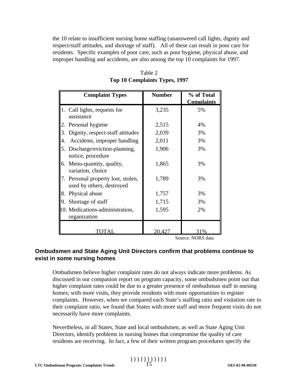the 10 relate to insufficient nursing home staffing (unanswered call lights, dignity and respect/staff attitudes, and shortage of staff). All of these can result in poor care for residents. Specific examples of poor care, such as poor hygiene, physical abuse, and improper handling and accidents, are also among the top 10 complaints for 1997.

|    | <b>Complaint Types</b>                                          | <b>Number</b> | % of Total              |
|----|-----------------------------------------------------------------|---------------|-------------------------|
|    | 1. Call lights, requests for<br>assistance                      | 3,235         | <b>Complaints</b><br>5% |
|    | 2. Personal hygiene                                             | 2,515         | 4%                      |
|    | 3. Dignity, respect-staff attitudes                             | 2,039         | 3%                      |
| 4. | Accidents, improper handling                                    | 2,011         | 3%                      |
|    | 5. Discharge/eviction-planning,<br>notice, procedure            | 1,906         | 3%                      |
|    | 6. Menu-quantity, quality,<br>variation, choice                 | 1,865         | 3%                      |
|    | 7. Personal property lost, stolen,<br>used by others, destroyed | 1,789         | 3%                      |
|    | 8. Physical abuse                                               | 1,757         | 3%                      |
|    | 9. Shortage of staff                                            | 1,715         | 3%                      |
|    | 10. Medications-administration,<br>organization                 | 1,595         | 2%                      |
|    |                                                                 | 20.427        | $\log$                  |

Table 2 **Top 10 Complaints Types, 1997** 

Source: NORS data

#### **Ombudsmen and State Aging Unit Directors confirm that problems continue to exist in some nursing homes**

Ombudsmen believe higher complaint rates do not always indicate more problems. As discussed in our companion report on program capacity, some ombudsmen point out that higher complaint rates could be due to a greater presence of ombudsman staff in nursing homes; with more visits, they provide residents with more opportunities to register complaints. However, when we compared each State's staffing ratio and visitation rate to their complaint ratio, we found that States with more staff and more frequent visits do not necessarily have more complaints.

Nevertheless, in all States, State and local ombudsmen, as well as State Aging Unit Directors, identify problems in nursing homes that compromise the quality of care residents are receiving. In fact, a few of their written program procedures specify the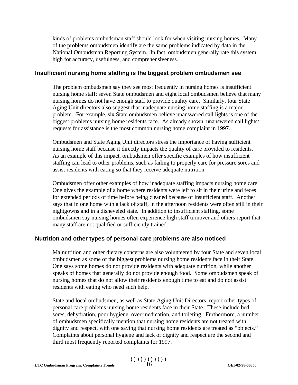kinds of problems ombudsman staff should look for when visiting nursing homes. Many of the problems ombudsmen identify are the same problems indicated by data in the National Ombudsman Reporting System. In fact, ombudsmen generally rate this system high for accuracy, usefulness, and comprehensiveness.

#### **Insufficient nursing home staffing is the biggest problem ombudsmen see**

The problem ombudsmen say they see most frequently in nursing homes is insufficient nursing home staff; seven State ombudsmen and eight local ombudsmen believe that many nursing homes do not have enough staff to provide quality care. Similarly, four State Aging Unit directors also suggest that inadequate nursing home staffing is a major problem. For example, six State ombudsmen believe unanswered call lights is one of the biggest problems nursing home residents face. As already shown, unanswered call lights/ requests for assistance is the most common nursing home complaint in 1997.

Ombudsmen and State Aging Unit directors stress the importance of having sufficient nursing home staff because it directly impacts the quality of care provided to residents. As an example of this impact, ombudsmen offer specific examples of how insufficient staffing can lead to other problems, such as failing to properly care for pressure sores and assist residents with eating so that they receive adequate nutrition.

Ombudsmen offer other examples of how inadequate staffing impacts nursing home care. One gives the example of a home where residents were left to sit in their urine and feces for extended periods of time before being cleaned because of insufficient staff. Another says that in one home with a lack of staff, in the afternoon residents were often still in their nightgowns and in a disheveled state. In addition to insufficient staffing, some ombudsmen say nursing homes often experience high staff turnover and others report that many staff are not qualified or sufficiently trained.

#### **Nutrition and other types of personal care problems are also noticed**

Malnutrition and other dietary concerns are also volunteered by four State and seven local ombudsmen as some of the biggest problems nursing home residents face in their State. One says some homes do not provide residents with adequate nutrition, while another speaks of homes that generally do not provide enough food. Some ombudsmen speak of nursing homes that do not allow their residents enough time to eat and do not assist residents with eating who need such help.

State and local ombudsmen, as well as State Aging Unit Directors, report other types of personal care problems nursing home residents face in their State. These include bed sores, dehydration, poor hygiene, over-medication, and toileting. Furthermore, a number of ombudsmen specifically mention that nursing home residents are not treated with dignity and respect, with one saying that nursing home residents are treated as "objects." Complaints about personal hygiene and lack of dignity and respect are the second and third most frequently reported complaints for 1997.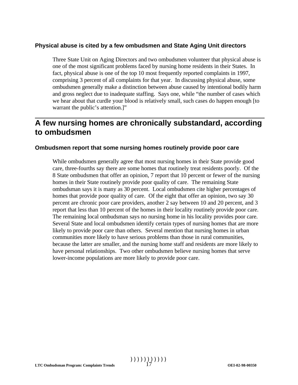#### **Physical abuse is cited by a few ombudsmen and State Aging Unit directors**

Three State Unit on Aging Directors and two ombudsmen volunteer that physical abuse is one of the most significant problems faced by nursing home residents in their States. In fact, physical abuse is one of the top 10 most frequently reported complaints in 1997, comprising 3 percent of all complaints for that year. In discussing physical abuse, some ombudsmen generally make a distinction between abuse caused by intentional bodily harm and gross neglect due to inadequate staffing. Says one, while "the number of cases which we hear about that curdle your blood is relatively small, such cases do happen enough [to warrant the public's attention.]"

# **A few nursing homes are chronically substandard, according to ombudsmen**

#### **Ombudsmen report that some nursing homes routinely provide poor care**

While ombudsmen generally agree that most nursing homes in their State provide good care, three-fourths say there are some homes that routinely treat residents poorly. Of the 8 State ombudsmen that offer an opinion, 7 report that 10 percent or fewer of the nursing homes in their State routinely provide poor quality of care. The remaining State ombudsman says it is many as 30 percent. Local ombudsmen cite higher percentages of homes that provide poor quality of care. Of the eight that offer an opinion, two say 30 percent are chronic poor care providers, another 2 say between 10 and 20 percent, and 3 report that less than 10 percent of the homes in their locality routinely provide poor care. The remaining local ombudsman says no nursing home in his locality provides poor care. Several State and local ombudsmen identify certain types of nursing homes that are more likely to provide poor care than others. Several mention that nursing homes in urban communities more likely to have serious problems than those in rural communities, because the latter are smaller, and the nursing home staff and residents are more likely to have personal relationships. Two other ombudsmen believe nursing homes that serve lower-income populations are more likely to provide poor care.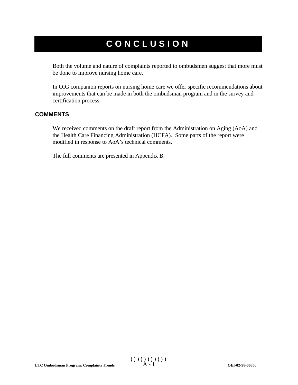# **CONCLUSION**

Both the volume and nature of complaints reported to ombudsmen suggest that more must be done to improve nursing home care.

In OIG companion reports on nursing home care we offer specific recommendations about improvements that can be made in both the ombudsman program and in the survey and certification process.

#### **COMMENTS**

We received comments on the draft report from the Administration on Aging (AoA) and the Health Care Financing Administration (HCFA). Some parts of the report were modified in response to AoA's technical comments.

The full comments are presented in Appendix B.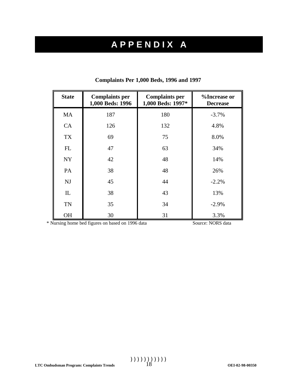# **A P P E N D I X A**

| <b>State</b> | <b>Complaints per</b><br>1,000 Beds: 1996 | <b>Complaints per</b><br>1,000 Beds: 1997* | %Increase or<br><b>Decrease</b> |
|--------------|-------------------------------------------|--------------------------------------------|---------------------------------|
| <b>MA</b>    | 187                                       | 180                                        | $-3.7%$                         |
| CA           | 126                                       | 132                                        | 4.8%                            |
| <b>TX</b>    | 69                                        | 75                                         | 8.0%                            |
| FL           | 47                                        | 63                                         | 34%                             |
| <b>NY</b>    | 42                                        | 48                                         | 14%                             |
| PA           | 38                                        | 48                                         | 26%                             |
| NJ           | 45                                        | 44                                         | $-2.2%$                         |
| IL           | 38                                        | 43                                         | 13%                             |
| <b>TN</b>    | 35                                        | 34                                         | $-2.9%$                         |
| <b>OH</b>    | 30                                        | 31                                         | 3.3%                            |

#### **Complaints Per 1,000 Beds, 1996 and 1997**

\* Nursing home bed figures on based on 1996 data Source: NORS data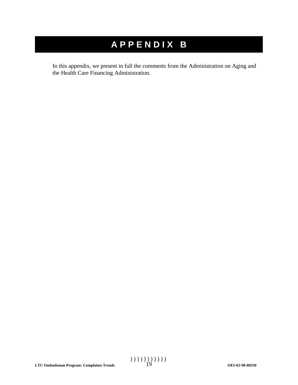# **A P P E N D I X B**

In this appendix, we present in full the comments from the Administration on Aging and the Health Care Financing Administration.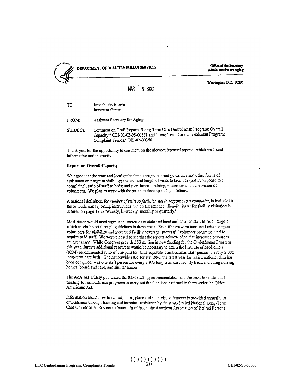

### DEPARTMENT OF HEALTH & HUMAN SERVICES

Office of the Secretary Administration on Aging

#### Washington, D.C. 20201

#### 5 1999

| TO:      | June Gibbs Brown<br>Inspector General                             |
|----------|-------------------------------------------------------------------|
| FROM:    | Assistant Secretary for Aging                                     |
| SUBJECT: | Comment on Draft Reports "Long<br>Capacity," OEI-02-02-98-00351 a |

g-Term Carc Ombudsman Program: Overall and "Long-Term Care Ombudsman Program: Complaint Trends," OEI-02-00350

Thank you for the opportunity to comment on the above-referenced reports, which we found informative and instructive.

#### Report on Overall Capacity

We agree that the state and local ombudsman programs need guidelines and other forms of assistance on program visibility; number and length of visits to facilities (not in response to a complaint); ratio of staff to beds; and recruitment, training, placement and supervision of volunteers. We plan to work with the states to develop such guidelines.

A national definition for number of visits to facilities, not in response to a complaint, is included in the ombudsman reporting instructions, which are attached. Regular basis for facility visitation is defined on page 12 as "weekly, bi-weekly, monthly or quarterly."

Most states would need significant increases in state and local ombudsman staff to reach targets which might be set through guidelines in these areas. Even if there were increased reliance upon volunteers for visibility and increased facility coverage, successful volunteer programs tend to require paid staff. We were pleased to see that the reports acknowledge that increased resources are necessary. While Congress provided \$3 million in new funding for the Ombudsman Program this year, further additional resources would be necessary to attain the Institute of Medicine's (IOM) recommended ratio of one paid full-time-equivalent ombudsman staff person to every 2,000 long-term care beds. The nationwide ratio for FY 1996, the latest year for which national data has been compiled, was one staff person for every 2,973 long-term care facility beds, including nursing homes, board and care, and similar homes.

The AoA has widely publicized the IOM staffing recommendation and the need for additional funding for ombudsman programs to carry out the functions assigned to them under the Older Americans Act.

Information about how to recruit, train, place and supervise volunteers is provided annually to ombudsmen through training and technical assistance by the A0A-funded National Long-Term Care Ombudsman Resource Center. In addition, the American Association of Retired Persons'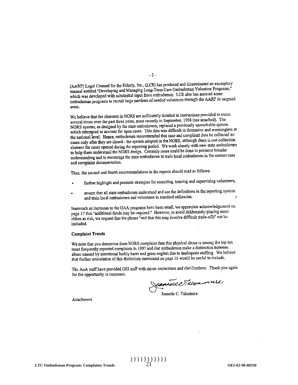(AARP) Legal Counsel for the Elderly, Inc., (LCE) has produced and disseminated an exemplary (AARP) Legal Counsel for the Elderly, file., (ECE) has produced the discovered volunteer Programs,"<br>manual entitled "Developing and Managing Long-Term Care Ombudsman Volunteer Programs," manual entitied "Developing and Managing Long-Term City Officialiso has assisted some<br>which was developed with substantial input from ombudsmen. LCE also has assisted some which was developed with substantial input from ontolesment. ECD and the activity in targeted<br>ombudsman programs to recruit large numbers of needed volunteers through the AARP in targeted areas.

We believe that the elements in NORS are sufficiently detailed in instructions provided to states we believe that the clements in NOKS are surfaceintly detailed in momentum (see attached). The<br>several times over the past three years, most recently in September, 1998 (see attached). The several times over the past three years, most recently in september, 1990 (see all several times over the past three persons).<br>NORS system, as designed by the state ombudsmen, replaced a previously universable system. which attempted to account for open cases. This data was difficult to determine and meaningless at<br>which attempted to account for open cases. This data was difficult to determine and meaningless at which attempted to account for open cases. This data was difficult to determine the collected on<br>the national level. Hence, ombudsmen recommended that case and complaint data be collected on the national level. Hence, ombudsment recommended that ease and complaint series one collection<br>cases only after they are closed - the system adopted in the NORS, although there is one collection cases only are rate of the chosen and system adopted in the viewer of the state ombudsment<br>clement for cases opened during the reporting period. We work closely with new state ombudsment to help them understand the NORS design. Certainly more could be done to promote broader to help them understand the NOKS design. Certainly hold bodie to sell the premium understanding and to encourage the state ombudsmen to train local ombudsmen in the correct case and complaint documentation.

Thus, the second and fourth recommendations in the reports should read as follows:

- further highlight and promote strategies for recruiting, training and supervising volunteers;
- ensure that all state ombudsmen understand and use the definitions in the reporting system and train local ombudsmen and volunteers in standard utilization.  $\lambda$

Inasmuch as increases to the OAA programs have been small, we appreciate acknowledgement on masmuch as increases to the OAA programs have been small, we approved a state overgonous<br>page 17 that "additional funds may be required." However, to avoid deliberately placing more elders at risk, we request that the phrase "and that this may involve difficult trade-offs" not be included.

#### **Complaint Trends**

We note that you determine from NORS complaint data that physical abuse is among the top ten most frequently reported complaints in 1997 and that ombudsmen make a distinction between abuse caused by intentional bodily harm and gross neglect due to inadequate staffing. We believe that further articulation of this distinction mentioned on page 16 would be useful to include.

The AoA staff have provided OEI staff with minor corrections and clarifications. Thank you again for the opportunity to comment.

Cancell Neleument

Attachment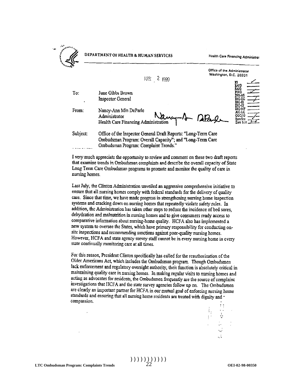#### DEPARTMENT OF HEALTH & HUMAN SERVICES

Health Care Financing Administrat

Office of the Administrator

 $M_{\rm R}$  2  $(990)$ 

To: June Gibbs Brown **Inspector General** 

From: Nancy-Ann Min DeParle Administrator Administrator Nancy.<br>Health Care Financing Administration

Washington, D.C. 20201

Subject: Office of the Inspector General Draft Reports: "Long-Term Care Ombudsman Program: Overall Capacity"; and "Long-Term Care Ombudsman Program: Complaint Trends."

I very much appreciate the opportunity to review and comment on these two draft reports that examine trends in Ombudsman complaints and describe the overall capacity of State Long Term Care Ombudsman programs to promote and monitor the quality of care in nursing homes.

Last July, the Clinton Administration unveiled an aggressive comprehensive initiative to ensure that all nursing homes comply with federal standards for the delivery of quality care. Since that time, we have made progress in strengthening nursing home inspection systems and cracking down on nursing homes that repeatedly violate safety rules. In addition, the Administration has taken other steps to reduce the incidence of bed sores, dehydration and malnutrition in nursing homes and to give consumers ready access to comparative information about nursing-home quality. HCFA also has implemented a new system to oversee the States, which have primary responsibility for conducting onsite inspections and recommending sanctions against poor-quality nursing homes. However, HCFA and state agency survey staff cannot be in every nursing home in cvery state continually monitoring care at all times.

For this reason, President Clinton specifically has called for the reauthorization of the Older Americans Act, which includes the Ombudsman program. Though Ombudsmen lack enforcement and regulatory oversight authority, their function is absolutely critical in maintaining quality care in nursing homes. In making regular visits to nursing homes and acting as advocates for residents, the Ombudsmen frequently are the source of complaint investigations that HCFA and the state survey agencies follow up on. The Ombudsmen are clearly an important partner for HCFA in our mutual goal of enforcing nursing home standards and ensuring that all nursing home residents are treated with dignity and compassion.